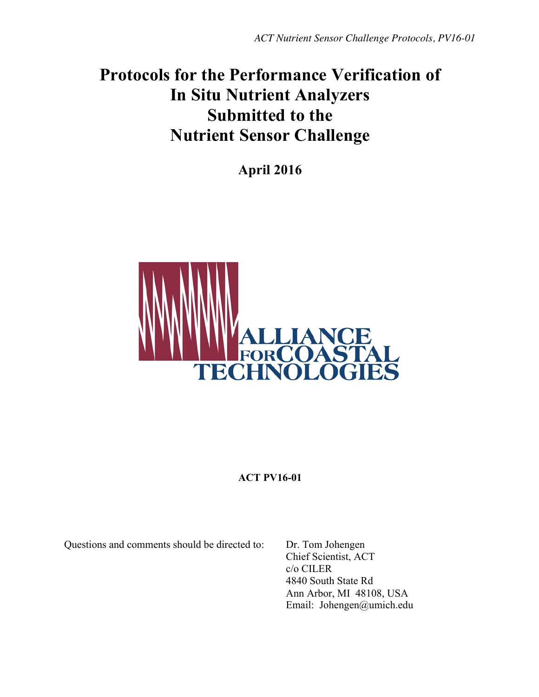# **Protocols for the Performance Verification of In Situ Nutrient Analyzers Submitted to the Nutrient Sensor Challenge**

**April 2016**



# **ACT PV16-01**

Questions and comments should be directed to: Dr. Tom Johengen

Chief Scientist, ACT c/o CILER 4840 South State Rd Ann Arbor, MI 48108, USA Email: Johengen@umich.edu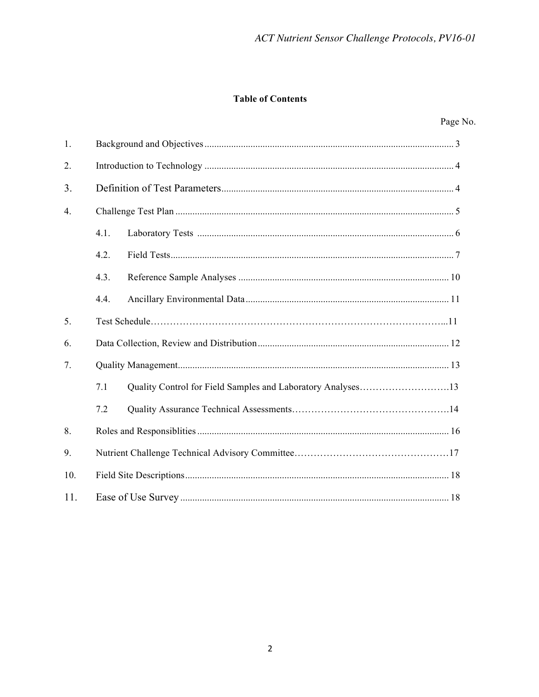## **Table of Contents**

| 1.               |      |  |  |  |  |
|------------------|------|--|--|--|--|
| 2.               |      |  |  |  |  |
| 3.               |      |  |  |  |  |
| $\overline{4}$ . |      |  |  |  |  |
|                  | 4.1. |  |  |  |  |
|                  | 4.2. |  |  |  |  |
|                  | 4.3. |  |  |  |  |
|                  | 4.4. |  |  |  |  |
| 5.               |      |  |  |  |  |
| 6.               |      |  |  |  |  |
| 7.               |      |  |  |  |  |
|                  | 7.1  |  |  |  |  |
|                  | 7.2  |  |  |  |  |
| 8.               |      |  |  |  |  |
| 9.               |      |  |  |  |  |
| 10.              |      |  |  |  |  |
| 11.              |      |  |  |  |  |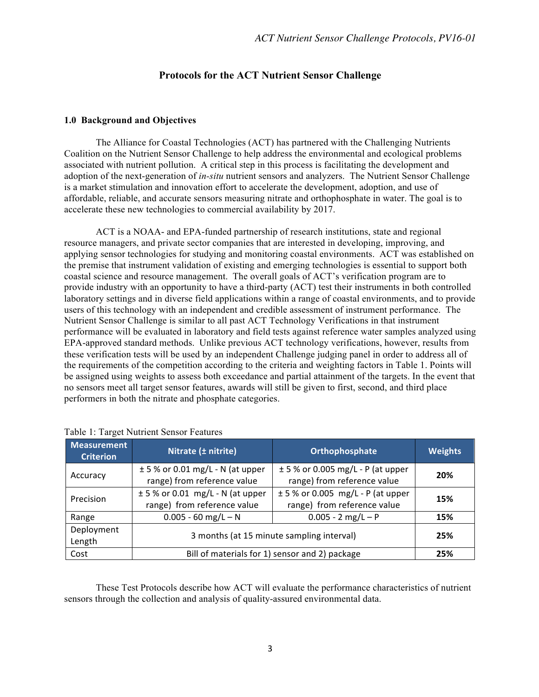## **Protocols for the ACT Nutrient Sensor Challenge**

#### **1.0 Background and Objectives**

The Alliance for Coastal Technologies (ACT) has partnered with the Challenging Nutrients Coalition on the Nutrient Sensor Challenge to help address the environmental and ecological problems associated with nutrient pollution. A critical step in this process is facilitating the development and adoption of the next-generation of *in-situ* nutrient sensors and analyzers. The Nutrient Sensor Challenge is a market stimulation and innovation effort to accelerate the development, adoption, and use of affordable, reliable, and accurate sensors measuring nitrate and orthophosphate in water. The goal is to accelerate these new technologies to commercial availability by 2017.

ACT is a NOAA- and EPA-funded partnership of research institutions, state and regional resource managers, and private sector companies that are interested in developing, improving, and applying sensor technologies for studying and monitoring coastal environments. ACT was established on the premise that instrument validation of existing and emerging technologies is essential to support both coastal science and resource management. The overall goals of ACT's verification program are to provide industry with an opportunity to have a third-party (ACT) test their instruments in both controlled laboratory settings and in diverse field applications within a range of coastal environments, and to provide users of this technology with an independent and credible assessment of instrument performance. The Nutrient Sensor Challenge is similar to all past ACT Technology Verifications in that instrument performance will be evaluated in laboratory and field tests against reference water samples analyzed using EPA-approved standard methods. Unlike previous ACT technology verifications, however, results from these verification tests will be used by an independent Challenge judging panel in order to address all of the requirements of the competition according to the criteria and weighting factors in Table 1. Points will be assigned using weights to assess both exceedance and partial attainment of the targets. In the event that no sensors meet all target sensor features, awards will still be given to first, second, and third place performers in both the nitrate and phosphate categories.

| <b>Measurement</b><br><b>Criterion</b> | Nitrate (± nitrite)                                                                                                                       | Orthophosphate                                                       | <b>Weights</b> |  |
|----------------------------------------|-------------------------------------------------------------------------------------------------------------------------------------------|----------------------------------------------------------------------|----------------|--|
| Accuracy                               | $\pm$ 5 % or 0.01 mg/L - N (at upper<br>range) from reference value                                                                       | $\pm$ 5 % or 0.005 mg/L - P (at upper<br>range) from reference value | 20%            |  |
| Precision                              | $± 5$ % or 0.005 mg/L - P (at upper<br>$\pm$ 5 % or 0.01 mg/L - N (at upper<br>range) from reference value<br>range) from reference value |                                                                      | 15%            |  |
| Range                                  | $0.005 - 60$ mg/L $- N$<br>$0.005 - 2$ mg/L - P                                                                                           |                                                                      | 15%            |  |
| Deployment<br>Length                   |                                                                                                                                           | 3 months (at 15 minute sampling interval)                            |                |  |
| Cost                                   | Bill of materials for 1) sensor and 2) package                                                                                            |                                                                      |                |  |

These Test Protocols describe how ACT will evaluate the performance characteristics of nutrient sensors through the collection and analysis of quality-assured environmental data.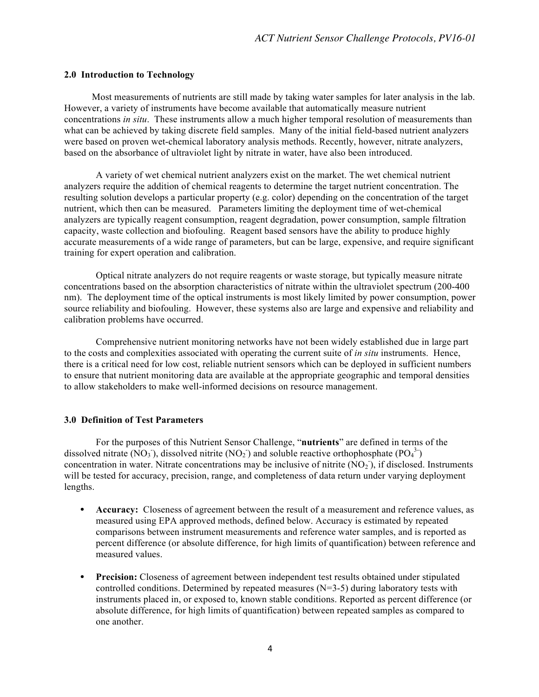#### **2.0 Introduction to Technology**

Most measurements of nutrients are still made by taking water samples for later analysis in the lab. However, a variety of instruments have become available that automatically measure nutrient concentrations *in situ*. These instruments allow a much higher temporal resolution of measurements than what can be achieved by taking discrete field samples. Many of the initial field-based nutrient analyzers were based on proven wet-chemical laboratory analysis methods. Recently, however, nitrate analyzers, based on the absorbance of ultraviolet light by nitrate in water, have also been introduced.

A variety of wet chemical nutrient analyzers exist on the market. The wet chemical nutrient analyzers require the addition of chemical reagents to determine the target nutrient concentration. The resulting solution develops a particular property (e.g. color) depending on the concentration of the target nutrient, which then can be measured. Parameters limiting the deployment time of wet-chemical analyzers are typically reagent consumption, reagent degradation, power consumption, sample filtration capacity, waste collection and biofouling. Reagent based sensors have the ability to produce highly accurate measurements of a wide range of parameters, but can be large, expensive, and require significant training for expert operation and calibration.

Optical nitrate analyzers do not require reagents or waste storage, but typically measure nitrate concentrations based on the absorption characteristics of nitrate within the ultraviolet spectrum (200-400 nm). The deployment time of the optical instruments is most likely limited by power consumption, power source reliability and biofouling. However, these systems also are large and expensive and reliability and calibration problems have occurred.

Comprehensive nutrient monitoring networks have not been widely established due in large part to the costs and complexities associated with operating the current suite of *in situ* instruments. Hence, there is a critical need for low cost, reliable nutrient sensors which can be deployed in sufficient numbers to ensure that nutrient monitoring data are available at the appropriate geographic and temporal densities to allow stakeholders to make well-informed decisions on resource management.

#### **3.0 Definition of Test Parameters**

For the purposes of this Nutrient Sensor Challenge, "**nutrients**" are defined in terms of the dissolved nitrate (NO<sub>3</sub>), dissolved nitrite (NO<sub>2</sub>) and soluble reactive orthophosphate (PO<sub>4</sub><sup>3</sup>) concentration in water. Nitrate concentrations may be inclusive of nitrite  $(\overline{NO_2})$ , if disclosed. Instruments will be tested for accuracy, precision, range, and completeness of data return under varying deployment lengths.

- **Accuracy:** Closeness of agreement between the result of a measurement and reference values, as measured using EPA approved methods, defined below. Accuracy is estimated by repeated comparisons between instrument measurements and reference water samples, and is reported as percent difference (or absolute difference, for high limits of quantification) between reference and measured values.
- **Precision:** Closeness of agreement between independent test results obtained under stipulated controlled conditions. Determined by repeated measures  $(N=3-5)$  during laboratory tests with instruments placed in, or exposed to, known stable conditions. Reported as percent difference (or absolute difference, for high limits of quantification) between repeated samples as compared to one another.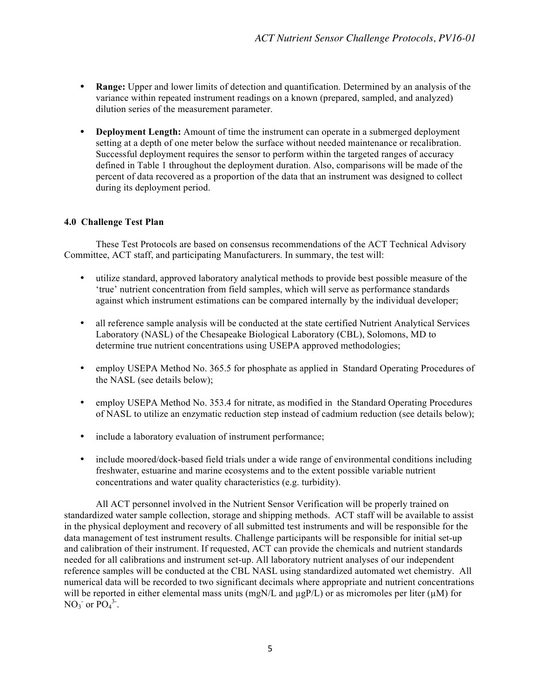- **Range:** Upper and lower limits of detection and quantification. Determined by an analysis of the variance within repeated instrument readings on a known (prepared, sampled, and analyzed) dilution series of the measurement parameter.
- **Deployment Length:** Amount of time the instrument can operate in a submerged deployment setting at a depth of one meter below the surface without needed maintenance or recalibration. Successful deployment requires the sensor to perform within the targeted ranges of accuracy defined in Table 1 throughout the deployment duration. Also, comparisons will be made of the percent of data recovered as a proportion of the data that an instrument was designed to collect during its deployment period.

## **4.0 Challenge Test Plan**

These Test Protocols are based on consensus recommendations of the ACT Technical Advisory Committee, ACT staff, and participating Manufacturers. In summary, the test will:

- utilize standard, approved laboratory analytical methods to provide best possible measure of the 'true' nutrient concentration from field samples, which will serve as performance standards against which instrument estimations can be compared internally by the individual developer;
- all reference sample analysis will be conducted at the state certified Nutrient Analytical Services Laboratory (NASL) of the Chesapeake Biological Laboratory (CBL), Solomons, MD to determine true nutrient concentrations using USEPA approved methodologies;
- employ USEPA Method No. 365.5 for phosphate as applied in Standard Operating Procedures of the NASL (see details below);
- employ USEPA Method No. 353.4 for nitrate, as modified in the Standard Operating Procedures of NASL to utilize an enzymatic reduction step instead of cadmium reduction (see details below);
- include a laboratory evaluation of instrument performance;
- include moored/dock-based field trials under a wide range of environmental conditions including freshwater, estuarine and marine ecosystems and to the extent possible variable nutrient concentrations and water quality characteristics (e.g. turbidity).

All ACT personnel involved in the Nutrient Sensor Verification will be properly trained on standardized water sample collection, storage and shipping methods. ACT staff will be available to assist in the physical deployment and recovery of all submitted test instruments and will be responsible for the data management of test instrument results. Challenge participants will be responsible for initial set-up and calibration of their instrument. If requested, ACT can provide the chemicals and nutrient standards needed for all calibrations and instrument set-up. All laboratory nutrient analyses of our independent reference samples will be conducted at the CBL NASL using standardized automated wet chemistry. All numerical data will be recorded to two significant decimals where appropriate and nutrient concentrations will be reported in either elemental mass units (mgN/L and  $\mu$ gP/L) or as micromoles per liter ( $\mu$ M) for  $NO_3$  or  $PO_4^3$ .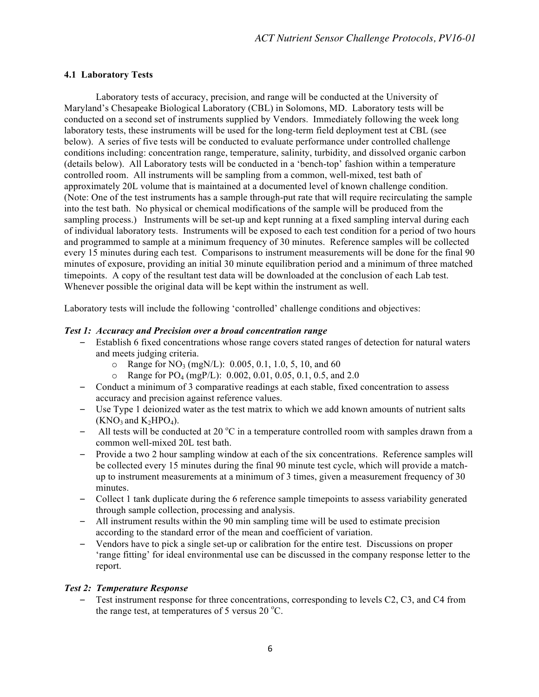## **4.1 Laboratory Tests**

Laboratory tests of accuracy, precision, and range will be conducted at the University of Maryland's Chesapeake Biological Laboratory (CBL) in Solomons, MD. Laboratory tests will be conducted on a second set of instruments supplied by Vendors. Immediately following the week long laboratory tests, these instruments will be used for the long-term field deployment test at CBL (see below). A series of five tests will be conducted to evaluate performance under controlled challenge conditions including: concentration range, temperature, salinity, turbidity, and dissolved organic carbon (details below). All Laboratory tests will be conducted in a 'bench-top' fashion within a temperature controlled room. All instruments will be sampling from a common, well-mixed, test bath of approximately 20L volume that is maintained at a documented level of known challenge condition. (Note: One of the test instruments has a sample through-put rate that will require recirculating the sample into the test bath. No physical or chemical modifications of the sample will be produced from the sampling process.) Instruments will be set-up and kept running at a fixed sampling interval during each of individual laboratory tests. Instruments will be exposed to each test condition for a period of two hours and programmed to sample at a minimum frequency of 30 minutes. Reference samples will be collected every 15 minutes during each test. Comparisons to instrument measurements will be done for the final 90 minutes of exposure, providing an initial 30 minute equilibration period and a minimum of three matched timepoints. A copy of the resultant test data will be downloaded at the conclusion of each Lab test. Whenever possible the original data will be kept within the instrument as well.

Laboratory tests will include the following 'controlled' challenge conditions and objectives:

## *Test 1: Accuracy and Precision over a broad concentration range*

- Establish 6 fixed concentrations whose range covers stated ranges of detection for natural waters and meets judging criteria.
	- $\circ$  Range for NO<sub>3</sub> (mgN/L): 0.005, 0.1, 1.0, 5, 10, and 60
	- $\circ$  Range for PO<sub>4</sub> (mgP/L): 0.002, 0.01, 0.05, 0.1, 0.5, and 2.0
- Conduct a minimum of 3 comparative readings at each stable, fixed concentration to assess accuracy and precision against reference values.
- Use Type 1 deionized water as the test matrix to which we add known amounts of nutrient salts  $(KNO_3$  and  $K_2HPO_4$ ).
- All tests will be conducted at 20  $^{\circ}$ C in a temperature controlled room with samples drawn from a common well-mixed 20L test bath.
- Provide a two 2 hour sampling window at each of the six concentrations. Reference samples will be collected every 15 minutes during the final 90 minute test cycle, which will provide a matchup to instrument measurements at a minimum of 3 times, given a measurement frequency of 30 minutes.
- Collect 1 tank duplicate during the 6 reference sample timepoints to assess variability generated through sample collection, processing and analysis.
- All instrument results within the 90 min sampling time will be used to estimate precision according to the standard error of the mean and coefficient of variation.
- Vendors have to pick a single set-up or calibration for the entire test. Discussions on proper 'range fitting' for ideal environmental use can be discussed in the company response letter to the report.

## *Test 2: Temperature Response*

– Test instrument response for three concentrations, corresponding to levels C2, C3, and C4 from the range test, at temperatures of 5 versus 20  $^{\circ}$ C.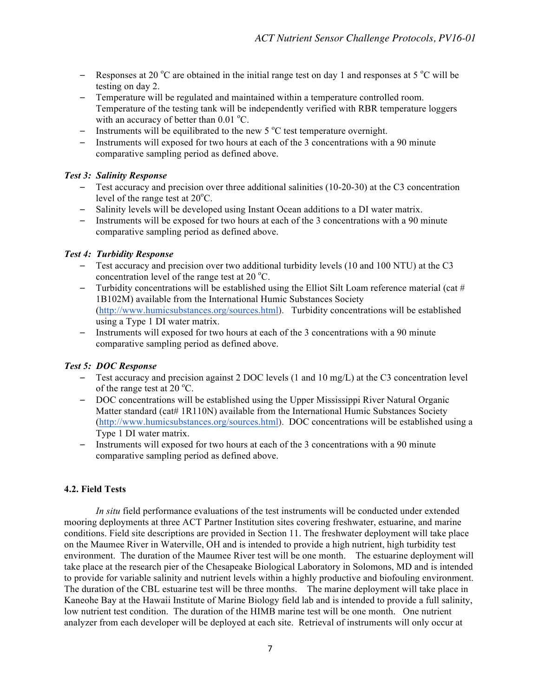- Responses at 20  $^{\circ}$ C are obtained in the initial range test on day 1 and responses at 5  $^{\circ}$ C will be testing on day 2.
- Temperature will be regulated and maintained within a temperature controlled room. Temperature of the testing tank will be independently verified with RBR temperature loggers with an accuracy of better than  $0.01 \degree C$ .
- Instruments will be equilibrated to the new  $5^{\circ}$ C test temperature overnight.
- Instruments will exposed for two hours at each of the 3 concentrations with a 90 minute comparative sampling period as defined above.

## *Test 3: Salinity Response*

- Test accuracy and precision over three additional salinities (10-20-30) at the C3 concentration level of the range test at  $20^{\circ}$ C.
- Salinity levels will be developed using Instant Ocean additions to a DI water matrix.
- Instruments will be exposed for two hours at each of the 3 concentrations with a 90 minute comparative sampling period as defined above.

## *Test 4: Turbidity Response*

- Test accuracy and precision over two additional turbidity levels (10 and 100 NTU) at the C3 concentration level of the range test at 20  $^{\circ}$ C.
- Turbidity concentrations will be established using the Elliot Silt Loam reference material (cat  $#$ 1B102M) available from the International Humic Substances Society (http://www.humicsubstances.org/sources.html). Turbidity concentrations will be established using a Type 1 DI water matrix.
- Instruments will exposed for two hours at each of the 3 concentrations with a 90 minute comparative sampling period as defined above.

## *Test 5: DOC Response*

- Test accuracy and precision against 2 DOC levels (1 and 10 mg/L) at the C3 concentration level of the range test at  $20^{\circ}$ C.
- DOC concentrations will be established using the Upper Mississippi River Natural Organic Matter standard (cat#  $1R110N$ ) available from the International Humic Substances Society (http://www.humicsubstances.org/sources.html). DOC concentrations will be established using a Type 1 DI water matrix.
- Instruments will exposed for two hours at each of the 3 concentrations with a 90 minute comparative sampling period as defined above.

## **4.2. Field Tests**

*In situ* field performance evaluations of the test instruments will be conducted under extended mooring deployments at three ACT Partner Institution sites covering freshwater, estuarine, and marine conditions. Field site descriptions are provided in Section 11. The freshwater deployment will take place on the Maumee River in Waterville, OH and is intended to provide a high nutrient, high turbidity test environment. The duration of the Maumee River test will be one month. The estuarine deployment will take place at the research pier of the Chesapeake Biological Laboratory in Solomons, MD and is intended to provide for variable salinity and nutrient levels within a highly productive and biofouling environment. The duration of the CBL estuarine test will be three months. The marine deployment will take place in Kaneohe Bay at the Hawaii Institute of Marine Biology field lab and is intended to provide a full salinity, low nutrient test condition. The duration of the HIMB marine test will be one month. One nutrient analyzer from each developer will be deployed at each site. Retrieval of instruments will only occur at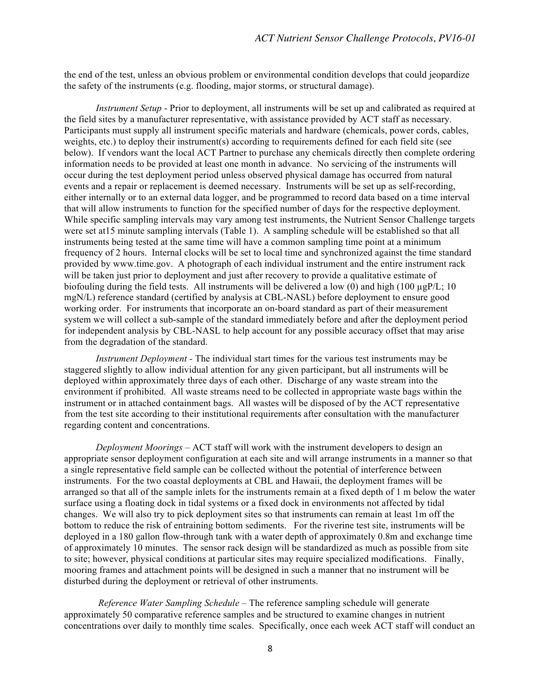the end of the test, unless an obvious problem or environmental condition develops that could jeopardize the safety of the instruments (e.g. flooding, major storms, or structural damage).

*Instrument Setup* - Prior to deployment, all instruments will be set up and calibrated as required at the field sites by a manufacturer representative, with assistance provided by ACT staff as necessary. Participants must supply all instrument specific materials and hardware (chemicals, power cords, cables, weights, etc.) to deploy their instrument(s) according to requirements defined for each field site (see below). If vendors want the local ACT Partner to purchase any chemicals directly then complete ordering information needs to be provided at least one month in advance. No servicing of the instruments will occur during the test deployment period unless observed physical damage has occurred from natural events and a repair or replacement is deemed necessary. Instruments will be set up as self-recording, either internally or to an external data logger, and be programmed to record data based on a time interval that will allow instruments to function for the specified number of days for the respective deployment. While specific sampling intervals may vary among test instruments, the Nutrient Sensor Challenge targets were set at15 minute sampling intervals (Table 1). A sampling schedule will be established so that all instruments being tested at the same time will have a common sampling time point at a minimum frequency of 2 hours. Internal clocks will be set to local time and synchronized against the time standard provided by www.time.gov. A photograph of each individual instrument and the entire instrument rack will be taken just prior to deployment and just after recovery to provide a qualitative estimate of biofouling during the field tests. All instruments will be delivered a low (0) and high (100  $\mu$ gP/L; 10 mgN/L) reference standard (certified by analysis at CBL-NASL) before deployment to ensure good working order. For instruments that incorporate an on-board standard as part of their measurement system we will collect a sub-sample of the standard immediately before and after the deployment period for independent analysis by CBL-NASL to help account for any possible accuracy offset that may arise from the degradation of the standard.

*Instrument Deployment -* The individual start times for the various test instruments may be staggered slightly to allow individual attention for any given participant, but all instruments will be deployed within approximately three days of each other. Discharge of any waste stream into the environment if prohibited. All waste streams need to be collected in appropriate waste bags within the instrument or in attached containment bags. All wastes will be disposed of by the ACT representative from the test site according to their institutional requirements after consultation with the manufacturer regarding content and concentrations.

*Deployment Moorings* – ACT staff will work with the instrument developers to design an appropriate sensor deployment configuration at each site and will arrange instruments in a manner so that a single representative field sample can be collected without the potential of interference between instruments. For the two coastal deployments at CBL and Hawaii, the deployment frames will be arranged so that all of the sample inlets for the instruments remain at a fixed depth of 1 m below the water surface using a floating dock in tidal systems or a fixed dock in environments not affected by tidal changes. We will also try to pick deployment sites so that instruments can remain at least 1m off the bottom to reduce the risk of entraining bottom sediments. For the riverine test site, instruments will be deployed in a 180 gallon flow-through tank with a water depth of approximately 0.8m and exchange time of approximately 10 minutes. The sensor rack design will be standardized as much as possible from site to site; however, physical conditions at particular sites may require specialized modifications. Finally, mooring frames and attachment points will be designed in such a manner that no instrument will be disturbed during the deployment or retrieval of other instruments.

*Reference Water Sampling Schedule –* The reference sampling schedule will generate approximately 50 comparative reference samples and be structured to examine changes in nutrient concentrations over daily to monthly time scales. Specifically, once each week ACT staff will conduct an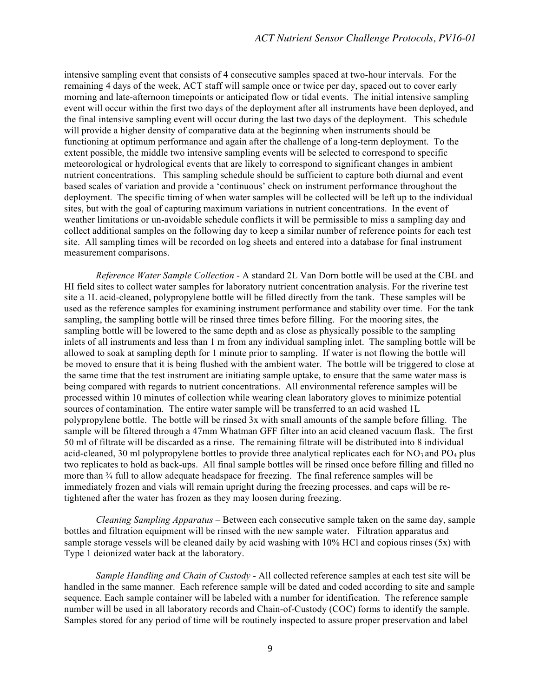intensive sampling event that consists of 4 consecutive samples spaced at two-hour intervals. For the remaining 4 days of the week, ACT staff will sample once or twice per day, spaced out to cover early morning and late-afternoon timepoints or anticipated flow or tidal events. The initial intensive sampling event will occur within the first two days of the deployment after all instruments have been deployed, and the final intensive sampling event will occur during the last two days of the deployment. This schedule will provide a higher density of comparative data at the beginning when instruments should be functioning at optimum performance and again after the challenge of a long-term deployment. To the extent possible, the middle two intensive sampling events will be selected to correspond to specific meteorological or hydrological events that are likely to correspond to significant changes in ambient nutrient concentrations. This sampling schedule should be sufficient to capture both diurnal and event based scales of variation and provide a 'continuous' check on instrument performance throughout the deployment. The specific timing of when water samples will be collected will be left up to the individual sites, but with the goal of capturing maximum variations in nutrient concentrations. In the event of weather limitations or un-avoidable schedule conflicts it will be permissible to miss a sampling day and collect additional samples on the following day to keep a similar number of reference points for each test site. All sampling times will be recorded on log sheets and entered into a database for final instrument measurement comparisons.

*Reference Water Sample Collection -* A standard 2L Van Dorn bottle will be used at the CBL and HI field sites to collect water samples for laboratory nutrient concentration analysis. For the riverine test site a 1L acid-cleaned, polypropylene bottle will be filled directly from the tank. These samples will be used as the reference samples for examining instrument performance and stability over time. For the tank sampling, the sampling bottle will be rinsed three times before filling. For the mooring sites, the sampling bottle will be lowered to the same depth and as close as physically possible to the sampling inlets of all instruments and less than 1 m from any individual sampling inlet. The sampling bottle will be allowed to soak at sampling depth for 1 minute prior to sampling. If water is not flowing the bottle will be moved to ensure that it is being flushed with the ambient water. The bottle will be triggered to close at the same time that the test instrument are initiating sample uptake, to ensure that the same water mass is being compared with regards to nutrient concentrations. All environmental reference samples will be processed within 10 minutes of collection while wearing clean laboratory gloves to minimize potential sources of contamination. The entire water sample will be transferred to an acid washed 1L polypropylene bottle. The bottle will be rinsed 3x with small amounts of the sample before filling. The sample will be filtered through a 47mm Whatman GFF filter into an acid cleaned vacuum flask. The first 50 ml of filtrate will be discarded as a rinse. The remaining filtrate will be distributed into 8 individual acid-cleaned, 30 ml polypropylene bottles to provide three analytical replicates each for  $NO<sub>3</sub>$  and  $PO<sub>4</sub>$  plus two replicates to hold as back-ups. All final sample bottles will be rinsed once before filling and filled no more than ¾ full to allow adequate headspace for freezing. The final reference samples will be immediately frozen and vials will remain upright during the freezing processes, and caps will be retightened after the water has frozen as they may loosen during freezing.

*Cleaning Sampling Apparatus* – Between each consecutive sample taken on the same day, sample bottles and filtration equipment will be rinsed with the new sample water. Filtration apparatus and sample storage vessels will be cleaned daily by acid washing with 10% HCl and copious rinses (5x) with Type 1 deionized water back at the laboratory.

*Sample Handling and Chain of Custody* - All collected reference samples at each test site will be handled in the same manner. Each reference sample will be dated and coded according to site and sample sequence. Each sample container will be labeled with a number for identification. The reference sample number will be used in all laboratory records and Chain-of-Custody (COC) forms to identify the sample. Samples stored for any period of time will be routinely inspected to assure proper preservation and label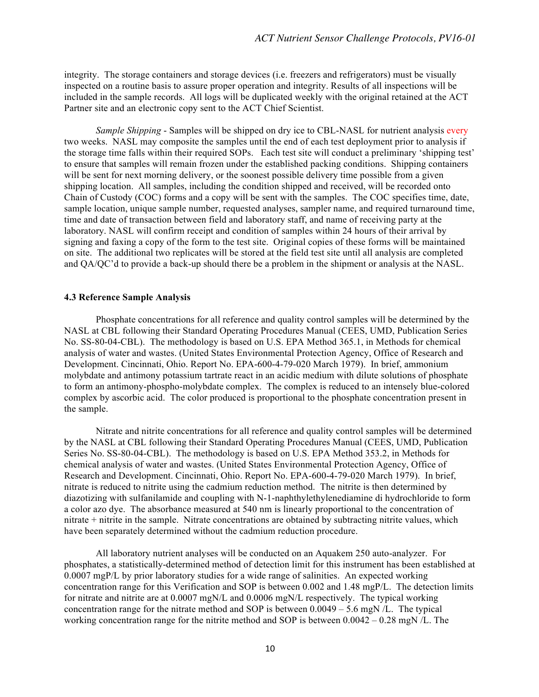integrity. The storage containers and storage devices (i.e. freezers and refrigerators) must be visually inspected on a routine basis to assure proper operation and integrity. Results of all inspections will be included in the sample records. All logs will be duplicated weekly with the original retained at the ACT Partner site and an electronic copy sent to the ACT Chief Scientist.

*Sample Shipping* - Samples will be shipped on dry ice to CBL-NASL for nutrient analysis every two weeks. NASL may composite the samples until the end of each test deployment prior to analysis if the storage time falls within their required SOPs. Each test site will conduct a preliminary 'shipping test' to ensure that samples will remain frozen under the established packing conditions. Shipping containers will be sent for next morning delivery, or the soonest possible delivery time possible from a given shipping location. All samples, including the condition shipped and received, will be recorded onto Chain of Custody (COC) forms and a copy will be sent with the samples. The COC specifies time, date, sample location, unique sample number, requested analyses, sampler name, and required turnaround time, time and date of transaction between field and laboratory staff, and name of receiving party at the laboratory. NASL will confirm receipt and condition of samples within 24 hours of their arrival by signing and faxing a copy of the form to the test site. Original copies of these forms will be maintained on site. The additional two replicates will be stored at the field test site until all analysis are completed and QA/QC'd to provide a back-up should there be a problem in the shipment or analysis at the NASL.

#### **4.3 Reference Sample Analysis**

Phosphate concentrations for all reference and quality control samples will be determined by the NASL at CBL following their Standard Operating Procedures Manual (CEES, UMD, Publication Series No. SS-80-04-CBL). The methodology is based on U.S. EPA Method 365.1, in Methods for chemical analysis of water and wastes. (United States Environmental Protection Agency, Office of Research and Development. Cincinnati, Ohio. Report No. EPA-600-4-79-020 March 1979). In brief, ammonium molybdate and antimony potassium tartrate react in an acidic medium with dilute solutions of phosphate to form an antimony-phospho-molybdate complex. The complex is reduced to an intensely blue-colored complex by ascorbic acid. The color produced is proportional to the phosphate concentration present in the sample.

Nitrate and nitrite concentrations for all reference and quality control samples will be determined by the NASL at CBL following their Standard Operating Procedures Manual (CEES, UMD, Publication Series No. SS-80-04-CBL). The methodology is based on U.S. EPA Method 353.2, in Methods for chemical analysis of water and wastes. (United States Environmental Protection Agency, Office of Research and Development. Cincinnati, Ohio. Report No. EPA-600-4-79-020 March 1979). In brief, nitrate is reduced to nitrite using the cadmium reduction method. The nitrite is then determined by diazotizing with sulfanilamide and coupling with N-1-naphthylethylenediamine di hydrochloride to form a color azo dye. The absorbance measured at 540 nm is linearly proportional to the concentration of nitrate + nitrite in the sample. Nitrate concentrations are obtained by subtracting nitrite values, which have been separately determined without the cadmium reduction procedure.

All laboratory nutrient analyses will be conducted on an Aquakem 250 auto-analyzer. For phosphates, a statistically-determined method of detection limit for this instrument has been established at 0.0007 mgP/L by prior laboratory studies for a wide range of salinities. An expected working concentration range for this Verification and SOP is between 0.002 and 1.48 mgP/L. The detection limits for nitrate and nitrite are at 0.0007 mgN/L and 0.0006 mgN/L respectively. The typical working concentration range for the nitrate method and SOP is between  $0.0049 - 5.6$  mgN/L. The typical working concentration range for the nitrite method and SOP is between  $0.0042 - 0.28$  mgN/L. The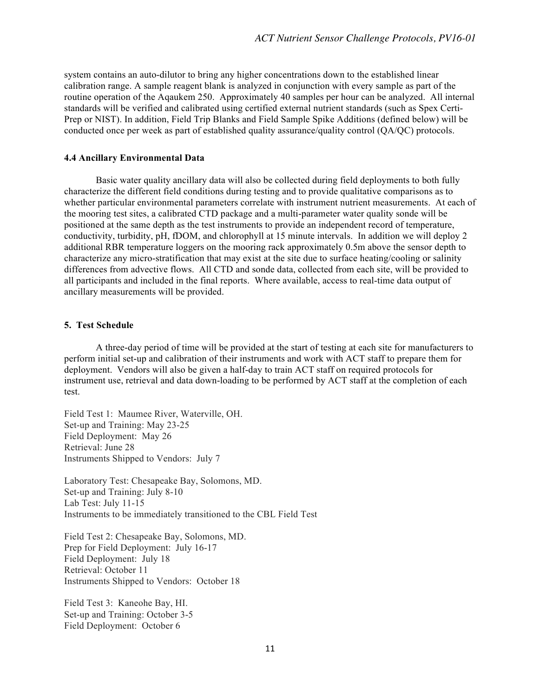system contains an auto-dilutor to bring any higher concentrations down to the established linear calibration range. A sample reagent blank is analyzed in conjunction with every sample as part of the routine operation of the Aqaukem 250. Approximately 40 samples per hour can be analyzed. All internal standards will be verified and calibrated using certified external nutrient standards (such as Spex Certi-Prep or NIST). In addition, Field Trip Blanks and Field Sample Spike Additions (defined below) will be conducted once per week as part of established quality assurance/quality control (QA/QC) protocols.

### **4.4 Ancillary Environmental Data**

Basic water quality ancillary data will also be collected during field deployments to both fully characterize the different field conditions during testing and to provide qualitative comparisons as to whether particular environmental parameters correlate with instrument nutrient measurements. At each of the mooring test sites, a calibrated CTD package and a multi-parameter water quality sonde will be positioned at the same depth as the test instruments to provide an independent record of temperature, conductivity, turbidity, pH, fDOM, and chlorophyll at 15 minute intervals. In addition we will deploy 2 additional RBR temperature loggers on the mooring rack approximately 0.5m above the sensor depth to characterize any micro-stratification that may exist at the site due to surface heating/cooling or salinity differences from advective flows. All CTD and sonde data, collected from each site, will be provided to all participants and included in the final reports. Where available, access to real-time data output of ancillary measurements will be provided.

#### **5. Test Schedule**

A three-day period of time will be provided at the start of testing at each site for manufacturers to perform initial set-up and calibration of their instruments and work with ACT staff to prepare them for deployment. Vendors will also be given a half-day to train ACT staff on required protocols for instrument use, retrieval and data down-loading to be performed by ACT staff at the completion of each test.

Field Test 1: Maumee River, Waterville, OH. Set-up and Training: May 23-25 Field Deployment: May 26 Retrieval: June 28 Instruments Shipped to Vendors: July 7

Laboratory Test: Chesapeake Bay, Solomons, MD. Set-up and Training: July 8-10 Lab Test: July 11-15 Instruments to be immediately transitioned to the CBL Field Test

Field Test 2: Chesapeake Bay, Solomons, MD. Prep for Field Deployment: July 16-17 Field Deployment: July 18 Retrieval: October 11 Instruments Shipped to Vendors: October 18

Field Test 3: Kaneohe Bay, HI. Set-up and Training: October 3-5 Field Deployment: October 6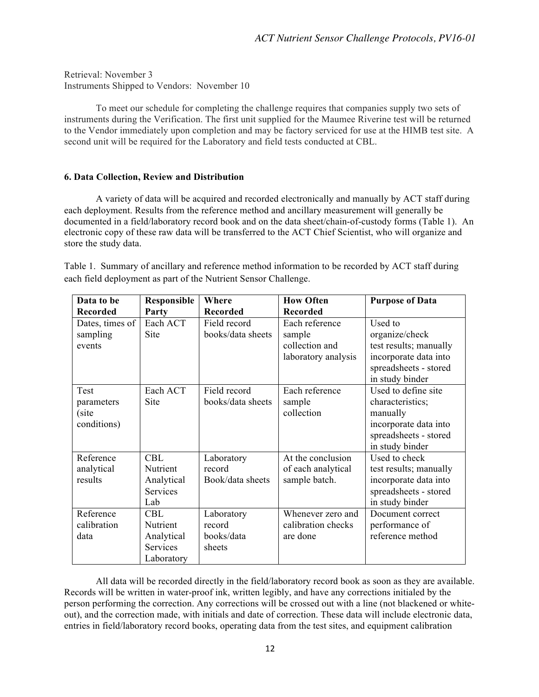Retrieval: November 3 Instruments Shipped to Vendors: November 10

To meet our schedule for completing the challenge requires that companies supply two sets of instruments during the Verification. The first unit supplied for the Maumee Riverine test will be returned to the Vendor immediately upon completion and may be factory serviced for use at the HIMB test site. A second unit will be required for the Laboratory and field tests conducted at CBL.

## **6. Data Collection, Review and Distribution**

A variety of data will be acquired and recorded electronically and manually by ACT staff during each deployment. Results from the reference method and ancillary measurement will generally be documented in a field/laboratory record book and on the data sheet/chain-of-custody forms (Table 1). An electronic copy of these raw data will be transferred to the ACT Chief Scientist, who will organize and store the study data.

Table 1. Summary of ancillary and reference method information to be recorded by ACT staff during each field deployment as part of the Nutrient Sensor Challenge.

| Data to be      | Responsible | Where             | <b>How Often</b>    | <b>Purpose of Data</b> |
|-----------------|-------------|-------------------|---------------------|------------------------|
| <b>Recorded</b> | Party       | <b>Recorded</b>   | <b>Recorded</b>     |                        |
| Dates, times of | Each ACT    | Field record      | Each reference      | Used to                |
| sampling        | Site        | books/data sheets | sample              | organize/check         |
| events          |             |                   | collection and      | test results; manually |
|                 |             |                   | laboratory analysis | incorporate data into  |
|                 |             |                   |                     | spreadsheets - stored  |
|                 |             |                   |                     | in study binder        |
| Test            | Each ACT    | Field record      | Each reference      | Used to define site    |
| parameters      | Site        | books/data sheets | sample              | characteristics;       |
| (site           |             |                   | collection          | manually               |
| conditions)     |             |                   |                     | incorporate data into  |
|                 |             |                   |                     | spreadsheets - stored  |
|                 |             |                   |                     | in study binder        |
| Reference       | <b>CBL</b>  | Laboratory        | At the conclusion   | Used to check          |
| analytical      | Nutrient    | record            | of each analytical  | test results; manually |
| results         | Analytical  | Book/data sheets  | sample batch.       | incorporate data into  |
|                 | Services    |                   |                     | spreadsheets - stored  |
|                 | Lab         |                   |                     | in study binder        |
| Reference       | CBL         | Laboratory        | Whenever zero and   | Document correct       |
| calibration     | Nutrient    | record            | calibration checks  | performance of         |
| data            | Analytical  | books/data        | are done            | reference method       |
|                 | Services    | sheets            |                     |                        |
|                 | Laboratory  |                   |                     |                        |

All data will be recorded directly in the field/laboratory record book as soon as they are available. Records will be written in water-proof ink, written legibly, and have any corrections initialed by the person performing the correction. Any corrections will be crossed out with a line (not blackened or whiteout), and the correction made, with initials and date of correction. These data will include electronic data, entries in field/laboratory record books, operating data from the test sites, and equipment calibration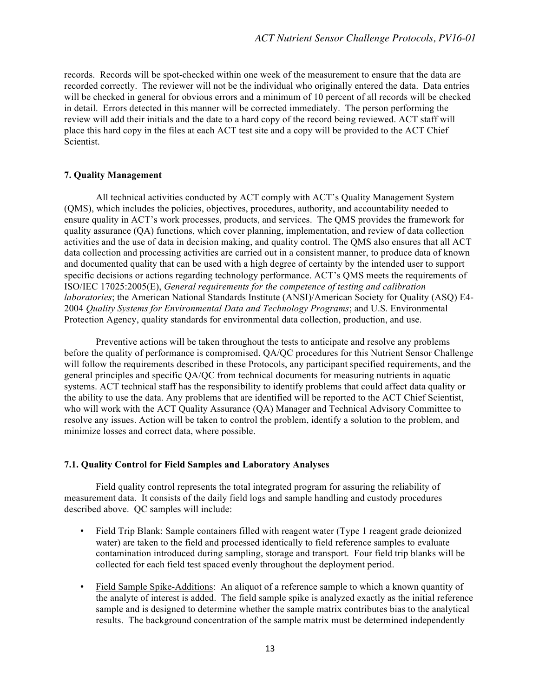records. Records will be spot-checked within one week of the measurement to ensure that the data are recorded correctly. The reviewer will not be the individual who originally entered the data. Data entries will be checked in general for obvious errors and a minimum of 10 percent of all records will be checked in detail. Errors detected in this manner will be corrected immediately. The person performing the review will add their initials and the date to a hard copy of the record being reviewed. ACT staff will place this hard copy in the files at each ACT test site and a copy will be provided to the ACT Chief Scientist.

## **7. Quality Management**

All technical activities conducted by ACT comply with ACT's Quality Management System (QMS), which includes the policies, objectives, procedures, authority, and accountability needed to ensure quality in ACT's work processes, products, and services. The QMS provides the framework for quality assurance (QA) functions, which cover planning, implementation, and review of data collection activities and the use of data in decision making, and quality control. The QMS also ensures that all ACT data collection and processing activities are carried out in a consistent manner, to produce data of known and documented quality that can be used with a high degree of certainty by the intended user to support specific decisions or actions regarding technology performance. ACT's QMS meets the requirements of ISO/IEC 17025:2005(E), *General requirements for the competence of testing and calibration laboratories*; the American National Standards Institute (ANSI)/American Society for Quality (ASQ) E4- 2004 *Quality Systems for Environmental Data and Technology Programs*; and U.S. Environmental Protection Agency, quality standards for environmental data collection, production, and use.

Preventive actions will be taken throughout the tests to anticipate and resolve any problems before the quality of performance is compromised. QA/QC procedures for this Nutrient Sensor Challenge will follow the requirements described in these Protocols, any participant specified requirements, and the general principles and specific QA/QC from technical documents for measuring nutrients in aquatic systems. ACT technical staff has the responsibility to identify problems that could affect data quality or the ability to use the data. Any problems that are identified will be reported to the ACT Chief Scientist, who will work with the ACT Quality Assurance (QA) Manager and Technical Advisory Committee to resolve any issues. Action will be taken to control the problem, identify a solution to the problem, and minimize losses and correct data, where possible.

#### **7.1. Quality Control for Field Samples and Laboratory Analyses**

Field quality control represents the total integrated program for assuring the reliability of measurement data. It consists of the daily field logs and sample handling and custody procedures described above. QC samples will include:

- Field Trip Blank: Sample containers filled with reagent water (Type 1 reagent grade deionized water) are taken to the field and processed identically to field reference samples to evaluate contamination introduced during sampling, storage and transport. Four field trip blanks will be collected for each field test spaced evenly throughout the deployment period.
- Field Sample Spike-Additions: An aliquot of a reference sample to which a known quantity of the analyte of interest is added. The field sample spike is analyzed exactly as the initial reference sample and is designed to determine whether the sample matrix contributes bias to the analytical results. The background concentration of the sample matrix must be determined independently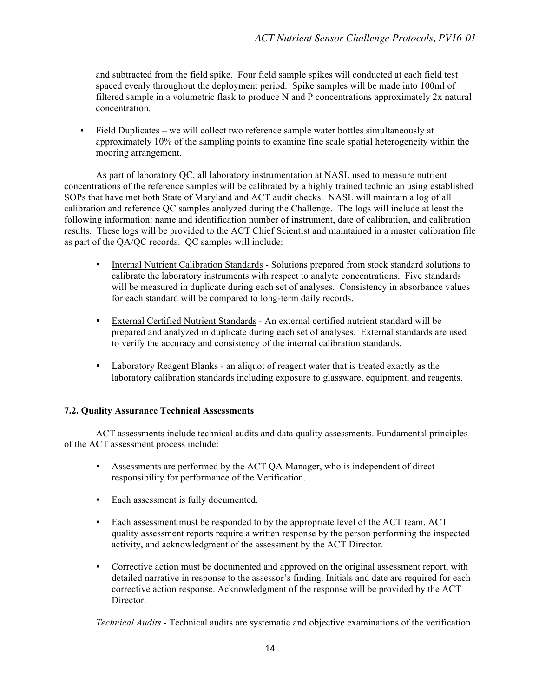and subtracted from the field spike. Four field sample spikes will conducted at each field test spaced evenly throughout the deployment period. Spike samples will be made into 100ml of filtered sample in a volumetric flask to produce N and P concentrations approximately 2x natural concentration.

• Field Duplicates – we will collect two reference sample water bottles simultaneously at approximately 10% of the sampling points to examine fine scale spatial heterogeneity within the mooring arrangement.

As part of laboratory QC, all laboratory instrumentation at NASL used to measure nutrient concentrations of the reference samples will be calibrated by a highly trained technician using established SOPs that have met both State of Maryland and ACT audit checks. NASL will maintain a log of all calibration and reference QC samples analyzed during the Challenge. The logs will include at least the following information: name and identification number of instrument, date of calibration, and calibration results. These logs will be provided to the ACT Chief Scientist and maintained in a master calibration file as part of the QA/QC records. QC samples will include:

- Internal Nutrient Calibration Standards Solutions prepared from stock standard solutions to calibrate the laboratory instruments with respect to analyte concentrations. Five standards will be measured in duplicate during each set of analyses. Consistency in absorbance values for each standard will be compared to long-term daily records.
- External Certified Nutrient Standards An external certified nutrient standard will be prepared and analyzed in duplicate during each set of analyses. External standards are used to verify the accuracy and consistency of the internal calibration standards.
- Laboratory Reagent Blanks an aliquot of reagent water that is treated exactly as the laboratory calibration standards including exposure to glassware, equipment, and reagents.

## **7.2. Quality Assurance Technical Assessments**

ACT assessments include technical audits and data quality assessments. Fundamental principles of the ACT assessment process include:

- Assessments are performed by the ACT QA Manager, who is independent of direct responsibility for performance of the Verification.
- Each assessment is fully documented.
- Each assessment must be responded to by the appropriate level of the ACT team. ACT quality assessment reports require a written response by the person performing the inspected activity, and acknowledgment of the assessment by the ACT Director.
- Corrective action must be documented and approved on the original assessment report, with detailed narrative in response to the assessor's finding. Initials and date are required for each corrective action response. Acknowledgment of the response will be provided by the ACT Director.

*Technical Audits* - Technical audits are systematic and objective examinations of the verification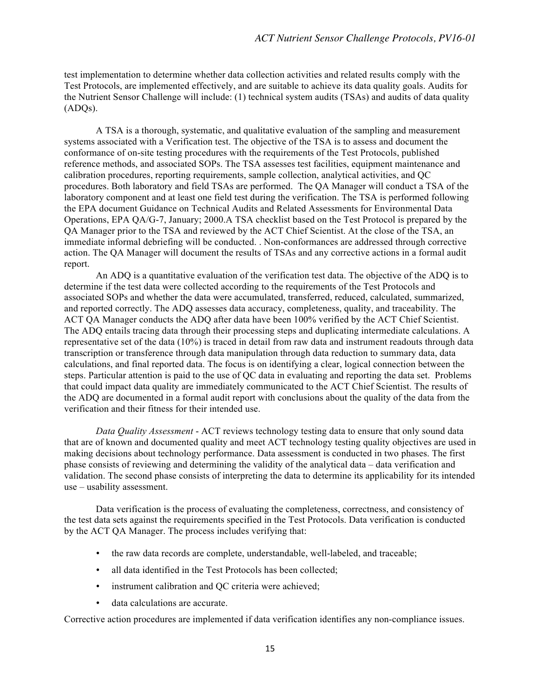test implementation to determine whether data collection activities and related results comply with the Test Protocols, are implemented effectively, and are suitable to achieve its data quality goals. Audits for the Nutrient Sensor Challenge will include: (1) technical system audits (TSAs) and audits of data quality (ADQs).

A TSA is a thorough, systematic, and qualitative evaluation of the sampling and measurement systems associated with a Verification test. The objective of the TSA is to assess and document the conformance of on-site testing procedures with the requirements of the Test Protocols, published reference methods, and associated SOPs. The TSA assesses test facilities, equipment maintenance and calibration procedures, reporting requirements, sample collection, analytical activities, and QC procedures. Both laboratory and field TSAs are performed. The QA Manager will conduct a TSA of the laboratory component and at least one field test during the verification. The TSA is performed following the EPA document Guidance on Technical Audits and Related Assessments for Environmental Data Operations, EPA QA/G-7, January; 2000.A TSA checklist based on the Test Protocol is prepared by the QA Manager prior to the TSA and reviewed by the ACT Chief Scientist. At the close of the TSA, an immediate informal debriefing will be conducted. . Non-conformances are addressed through corrective action. The QA Manager will document the results of TSAs and any corrective actions in a formal audit report.

An ADQ is a quantitative evaluation of the verification test data. The objective of the ADQ is to determine if the test data were collected according to the requirements of the Test Protocols and associated SOPs and whether the data were accumulated, transferred, reduced, calculated, summarized, and reported correctly. The ADQ assesses data accuracy, completeness, quality, and traceability. The ACT QA Manager conducts the ADQ after data have been 100% verified by the ACT Chief Scientist. The ADQ entails tracing data through their processing steps and duplicating intermediate calculations. A representative set of the data (10%) is traced in detail from raw data and instrument readouts through data transcription or transference through data manipulation through data reduction to summary data, data calculations, and final reported data. The focus is on identifying a clear, logical connection between the steps. Particular attention is paid to the use of QC data in evaluating and reporting the data set. Problems that could impact data quality are immediately communicated to the ACT Chief Scientist. The results of the ADQ are documented in a formal audit report with conclusions about the quality of the data from the verification and their fitness for their intended use.

*Data Quality Assessment* - ACT reviews technology testing data to ensure that only sound data that are of known and documented quality and meet ACT technology testing quality objectives are used in making decisions about technology performance. Data assessment is conducted in two phases. The first phase consists of reviewing and determining the validity of the analytical data – data verification and validation. The second phase consists of interpreting the data to determine its applicability for its intended use – usability assessment.

Data verification is the process of evaluating the completeness, correctness, and consistency of the test data sets against the requirements specified in the Test Protocols. Data verification is conducted by the ACT QA Manager. The process includes verifying that:

- the raw data records are complete, understandable, well-labeled, and traceable;
- all data identified in the Test Protocols has been collected;
- instrument calibration and QC criteria were achieved;
- data calculations are accurate.

Corrective action procedures are implemented if data verification identifies any non-compliance issues.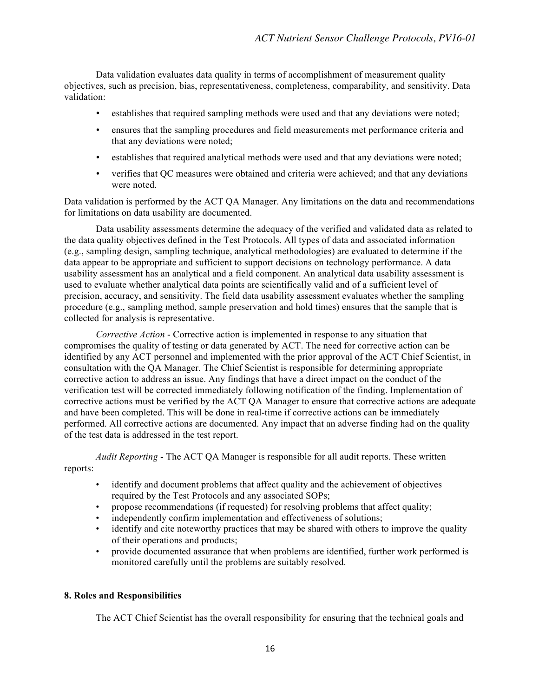Data validation evaluates data quality in terms of accomplishment of measurement quality objectives, such as precision, bias, representativeness, completeness, comparability, and sensitivity. Data validation:

- establishes that required sampling methods were used and that any deviations were noted;
- ensures that the sampling procedures and field measurements met performance criteria and that any deviations were noted;
- establishes that required analytical methods were used and that any deviations were noted;
- verifies that QC measures were obtained and criteria were achieved; and that any deviations were noted.

Data validation is performed by the ACT QA Manager. Any limitations on the data and recommendations for limitations on data usability are documented.

Data usability assessments determine the adequacy of the verified and validated data as related to the data quality objectives defined in the Test Protocols. All types of data and associated information (e.g., sampling design, sampling technique, analytical methodologies) are evaluated to determine if the data appear to be appropriate and sufficient to support decisions on technology performance. A data usability assessment has an analytical and a field component. An analytical data usability assessment is used to evaluate whether analytical data points are scientifically valid and of a sufficient level of precision, accuracy, and sensitivity. The field data usability assessment evaluates whether the sampling procedure (e.g., sampling method, sample preservation and hold times) ensures that the sample that is collected for analysis is representative.

*Corrective Action* - Corrective action is implemented in response to any situation that compromises the quality of testing or data generated by ACT. The need for corrective action can be identified by any ACT personnel and implemented with the prior approval of the ACT Chief Scientist, in consultation with the QA Manager. The Chief Scientist is responsible for determining appropriate corrective action to address an issue. Any findings that have a direct impact on the conduct of the verification test will be corrected immediately following notification of the finding. Implementation of corrective actions must be verified by the ACT QA Manager to ensure that corrective actions are adequate and have been completed. This will be done in real-time if corrective actions can be immediately performed. All corrective actions are documented. Any impact that an adverse finding had on the quality of the test data is addressed in the test report.

*Audit Reporting* - The ACT QA Manager is responsible for all audit reports. These written reports:

- identify and document problems that affect quality and the achievement of objectives required by the Test Protocols and any associated SOPs;
- propose recommendations (if requested) for resolving problems that affect quality;
- independently confirm implementation and effectiveness of solutions;
- identify and cite noteworthy practices that may be shared with others to improve the quality of their operations and products;
- provide documented assurance that when problems are identified, further work performed is monitored carefully until the problems are suitably resolved.

#### **8. Roles and Responsibilities**

The ACT Chief Scientist has the overall responsibility for ensuring that the technical goals and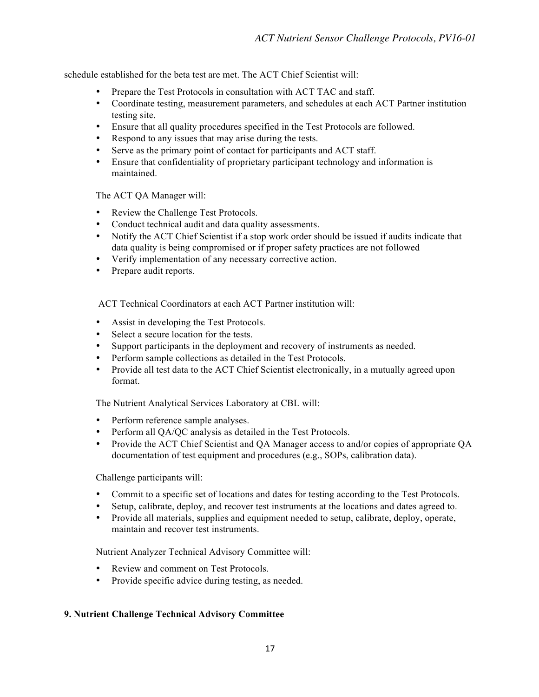schedule established for the beta test are met. The ACT Chief Scientist will:

- Prepare the Test Protocols in consultation with ACT TAC and staff.
- Coordinate testing, measurement parameters, and schedules at each ACT Partner institution testing site.
- Ensure that all quality procedures specified in the Test Protocols are followed.
- Respond to any issues that may arise during the tests.
- Serve as the primary point of contact for participants and ACT staff.
- Ensure that confidentiality of proprietary participant technology and information is maintained.

The ACT QA Manager will:

- Review the Challenge Test Protocols.
- Conduct technical audit and data quality assessments.
- Notify the ACT Chief Scientist if a stop work order should be issued if audits indicate that data quality is being compromised or if proper safety practices are not followed
- Verify implementation of any necessary corrective action.
- Prepare audit reports.

ACT Technical Coordinators at each ACT Partner institution will:

- Assist in developing the Test Protocols.
- Select a secure location for the tests.
- Support participants in the deployment and recovery of instruments as needed.
- Perform sample collections as detailed in the Test Protocols.
- Provide all test data to the ACT Chief Scientist electronically, in a mutually agreed upon format.

The Nutrient Analytical Services Laboratory at CBL will:

- Perform reference sample analyses.
- Perform all QA/QC analysis as detailed in the Test Protocols.
- Provide the ACT Chief Scientist and QA Manager access to and/or copies of appropriate QA documentation of test equipment and procedures (e.g., SOPs, calibration data).

Challenge participants will:

- Commit to a specific set of locations and dates for testing according to the Test Protocols.
- Setup, calibrate, deploy, and recover test instruments at the locations and dates agreed to.
- Provide all materials, supplies and equipment needed to setup, calibrate, deploy, operate, maintain and recover test instruments.

Nutrient Analyzer Technical Advisory Committee will:

- Review and comment on Test Protocols.
- Provide specific advice during testing, as needed.

## **9. Nutrient Challenge Technical Advisory Committee**